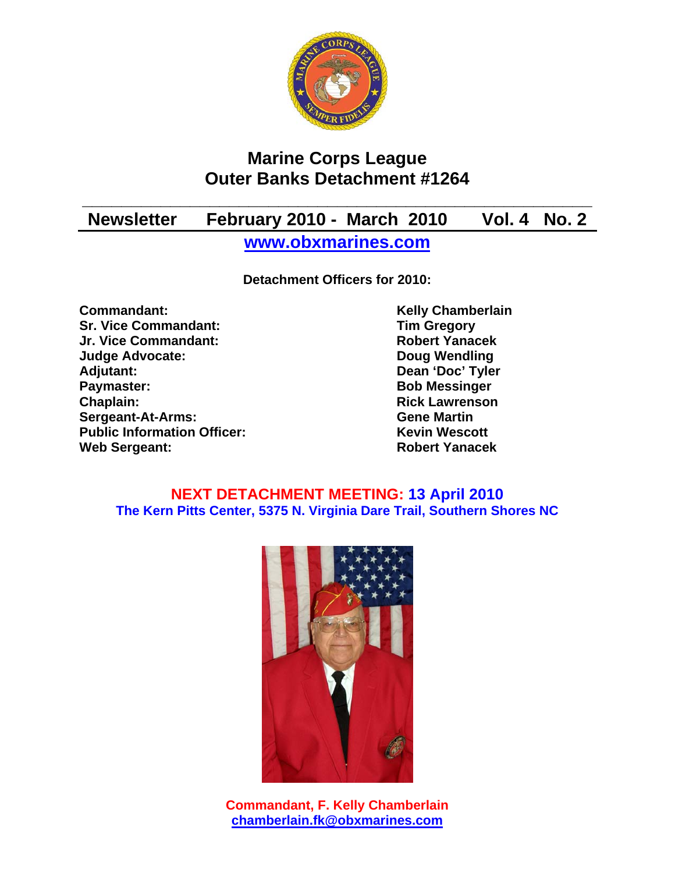

# **Marine Corps League Outer Banks Detachment #1264**

# **\_\_\_\_\_\_\_\_\_\_\_\_\_\_\_\_\_\_\_\_\_\_\_\_\_\_\_\_\_\_\_\_\_\_\_\_\_\_\_\_\_\_\_\_\_\_\_\_\_\_\_\_ Newsletter February 2010 - March 2010 Vol. 4 No. 2**

**www.obxmarines.com**

**Detachment Officers for 2010:** 

**Commandant:** Kelly Chamberlain **Commandant: Sr. Vice Commandant:** Tim Gregory **Jr. Vice Commandant: Robert Yanacek Judge Advocate: Doug Wendling Adjutant: Dean 'Doc' Tyler Paymaster:** Bob Messinger **Chaplain: Chaplain: Rick Lawrenson Sergeant-At-Arms: Gene Martin Public Information Officer:** Kevin Wescott **Web Sergeant: Robert Yanacek Robert Yanacek** 

### **NEXT DETACHMENT MEETING: 13 April 2010 The Kern Pitts Center, 5375 N. Virginia Dare Trail, Southern Shores NC**



**Commandant, F. Kelly Chamberlain chamberlain.fk@obxmarines.com**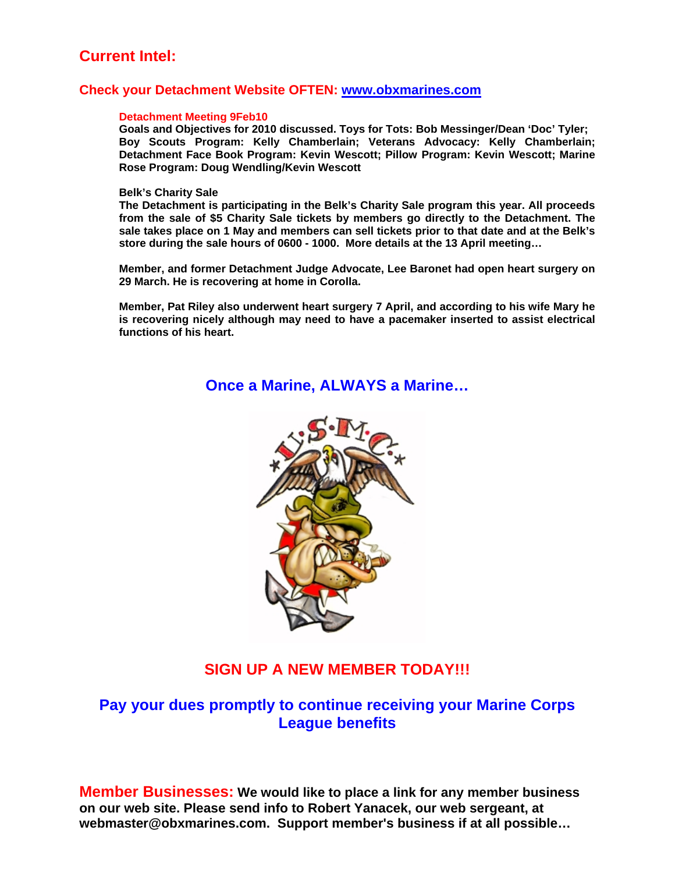## **Current Intel:**

#### **Check your Detachment Website OFTEN: www.obxmarines.com**

#### **Detachment Meeting 9Feb10**

**Goals and Objectives for 2010 discussed. Toys for Tots: Bob Messinger/Dean 'Doc' Tyler; Boy Scouts Program: Kelly Chamberlain; Veterans Advocacy: Kelly Chamberlain; Detachment Face Book Program: Kevin Wescott; Pillow Program: Kevin Wescott; Marine Rose Program: Doug Wendling/Kevin Wescott** 

#### **Belk's Charity Sale**

**The Detachment is participating in the Belk's Charity Sale program this year. All proceeds from the sale of \$5 Charity Sale tickets by members go directly to the Detachment. The sale takes place on 1 May and members can sell tickets prior to that date and at the Belk's store during the sale hours of 0600 - 1000. More details at the 13 April meeting…** 

**Member, and former Detachment Judge Advocate, Lee Baronet had open heart surgery on 29 March. He is recovering at home in Corolla.** 

**Member, Pat Riley also underwent heart surgery 7 April, and according to his wife Mary he is recovering nicely although may need to have a pacemaker inserted to assist electrical functions of his heart.** 

**Once a Marine, ALWAYS a Marine…** 



### **SIGN UP A NEW MEMBER TODAY!!!**

## **Pay your dues promptly to continue receiving your Marine Corps League benefits**

**Member Businesses: We would like to place a link for any member business on our web site. Please send info to Robert Yanacek, our web sergeant, at webmaster@obxmarines.com. Support member's business if at all possible…**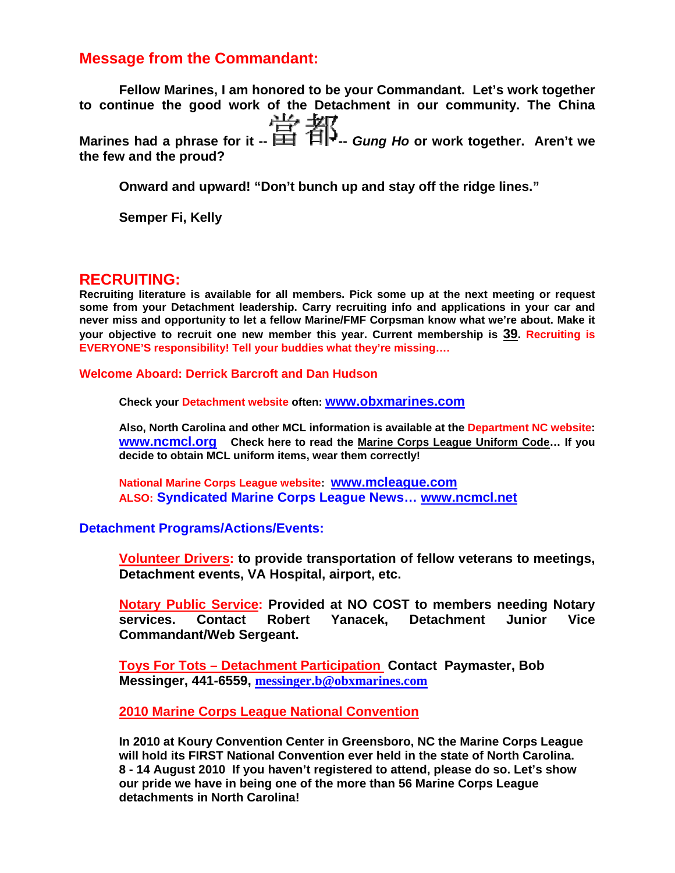## **Message from the Commandant:**

**Fellow Marines, I am honored to be your Commandant. Let's work together to continue the good work of the Detachment in our community. The China Marines had a phrase for it -- --** *Gung Ho* **or work together. Aren't we the few and the proud?** 

**Onward and upward! "Don't bunch up and stay off the ridge lines."** 

**Semper Fi, Kelly** 

#### **RECRUITING:**

**Recruiting literature is available for all members. Pick some up at the next meeting or request some from your Detachment leadership. Carry recruiting info and applications in your car and never miss and opportunity to let a fellow Marine/FMF Corpsman know what we're about. Make it your objective to recruit one new member this year. Current membership is 39. Recruiting is EVERYONE'S responsibility! Tell your buddies what they're missing….** 

**Welcome Aboard: Derrick Barcroft and Dan Hudson** 

**Check your Detachment website often: www.obxmarines.com**

**Also, North Carolina and other MCL information is available at the Department NC website: www.ncmcl.org Check here to read the Marine Corps League Uniform Code… If you decide to obtain MCL uniform items, wear them correctly!** 

**National Marine Corps League website: www.mcleague.com ALSO: Syndicated Marine Corps League News… www.ncmcl.net** 

#### **Detachment Programs/Actions/Events:**

**Volunteer Drivers: to provide transportation of fellow veterans to meetings, Detachment events, VA Hospital, airport, etc.** 

**Notary Public Service: Provided at NO COST to members needing Notary services. Contact Robert Yanacek, Detachment Junior Vice Commandant/Web Sergeant.** 

**Toys For Tots – Detachment Participation Contact Paymaster, Bob Messinger, 441-6559, messinger.b@obxmarines.com**

**2010 Marine Corps League National Convention**

**In 2010 at Koury Convention Center in Greensboro, NC the Marine Corps League will hold its FIRST National Convention ever held in the state of North Carolina. 8 - 14 August 2010 If you haven't registered to attend, please do so. Let's show our pride we have in being one of the more than 56 Marine Corps League detachments in North Carolina!**